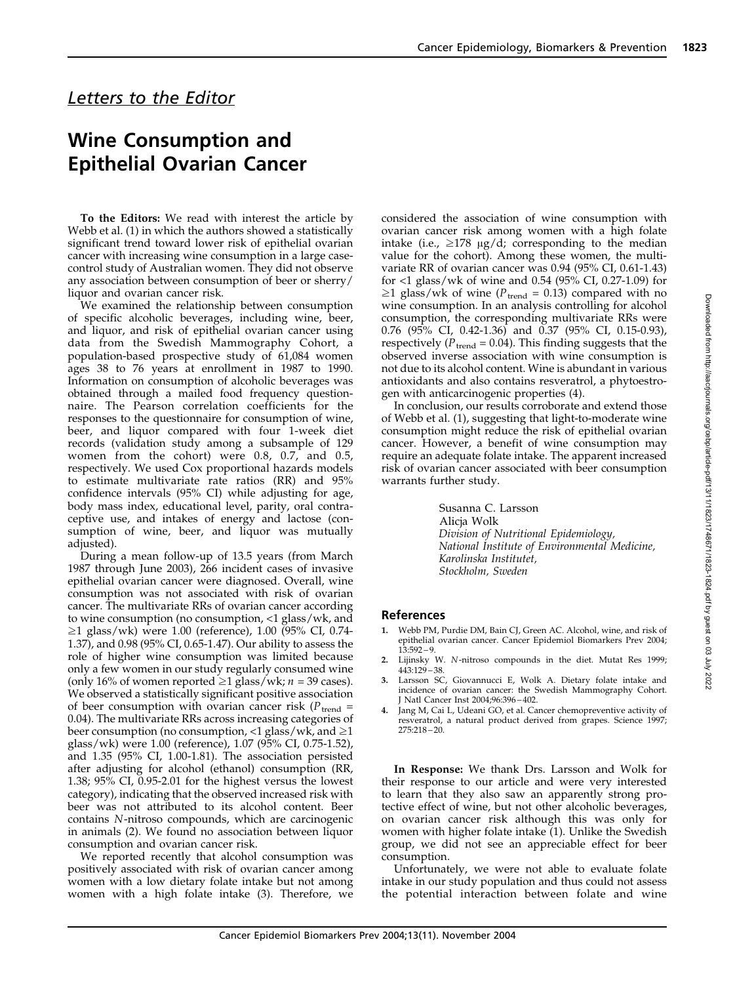## Letters to the Editor

## Wine Consumption and Epithelial Ovarian Cancer

To the Editors: We read with interest the article by Webb et al. (1) in which the authors showed a statistically significant trend toward lower risk of epithelial ovarian cancer with increasing wine consumption in a large casecontrol study of Australian women. They did not observe any association between consumption of beer or sherry/ liquor and ovarian cancer risk.

We examined the relationship between consumption of specific alcoholic beverages, including wine, beer, and liquor, and risk of epithelial ovarian cancer using data from the Swedish Mammography Cohort, a population-based prospective study of 61,084 women ages 38 to 76 years at enrollment in 1987 to 1990. Information on consumption of alcoholic beverages was obtained through a mailed food frequency questionnaire. The Pearson correlation coefficients for the responses to the questionnaire for consumption of wine, beer, and liquor compared with four 1-week diet records (validation study among a subsample of 129 women from the cohort) were 0.8, 0.7, and 0.5, respectively. We used Cox proportional hazards models to estimate multivariate rate ratios (RR) and 95% confidence intervals (95% CI) while adjusting for age, body mass index, educational level, parity, oral contraceptive use, and intakes of energy and lactose (consumption of wine, beer, and liquor was mutually adjusted).

During a mean follow-up of 13.5 years (from March 1987 through June 2003), 266 incident cases of invasive epithelial ovarian cancer were diagnosed. Overall, wine consumption was not associated with risk of ovarian cancer. The multivariate RRs of ovarian cancer according to wine consumption (no consumption, <1 glass/wk, and  $\geq$ 1 glass/wk) were 1.00 (reference), 1.00 (95% CI, 0.74-1.37), and 0.98 (95% CI, 0.65-1.47). Our ability to assess the role of higher wine consumption was limited because only a few women in our study regularly consumed wine (only 16% of women reported  $\geq$ 1 glass/wk; *n* = 39 cases). We observed a statistically significant positive association of beer consumption with ovarian cancer risk ( $P_{\text{trend}}$  = 0.04). The multivariate RRs across increasing categories of beer consumption (no consumption,  $\langle 1 \text{ glass/wk}$ , and  $\geq 1$ glass/wk) were 1.00 (reference), 1.07 (95% CI, 0.75-1.52), and 1.35 (95% CI, 1.00-1.81). The association persisted after adjusting for alcohol (ethanol) consumption (RR, 1.38; 95% CI, 0.95-2.01 for the highest versus the lowest category), indicating that the observed increased risk with beer was not attributed to its alcohol content. Beer contains N-nitroso compounds, which are carcinogenic in animals (2). We found no association between liquor consumption and ovarian cancer risk.

We reported recently that alcohol consumption was positively associated with risk of ovarian cancer among women with a low dietary folate intake but not among women with a high folate intake (3). Therefore, we considered the association of wine consumption with ovarian cancer risk among women with a high folate intake (i.e.,  $\geq$ 178  $\mu$ g/d; corresponding to the median value for the cohort). Among these women, the multivariate RR of ovarian cancer was 0.94 (95% CI, 0.61-1.43) for <1 glass/wk of wine and 0.54 (95% CI, 0.27-1.09) for  $\geq$ 1 glass/wk of wine ( $P_{\text{trend}} = 0.13$ ) compared with no wine consumption. In an analysis controlling for alcohol consumption, the corresponding multivariate RRs were 0.76 (95% CI, 0.42-1.36) and 0.37 (95% CI, 0.15-0.93), respectively ( $P_{\text{trend}} = 0.04$ ). This finding suggests that the observed inverse association with wine consumption is not due to its alcohol content. Wine is abundant in various antioxidants and also contains resveratrol, a phytoestrogen with anticarcinogenic properties (4).

In conclusion, our results corroborate and extend those of Webb et al. (1), suggesting that light-to-moderate wine consumption might reduce the risk of epithelial ovarian cancer. However, a benefit of wine consumption may require an adequate folate intake. The apparent increased risk of ovarian cancer associated with beer consumption warrants further study.

> Susanna C. Larsson Alicja Wolk Division of Nutritional Epidemiology, National Institute of Environmental Medicine, Karolinska Institutet, Stockholm, Sweden

## References

- 1. Webb PM, Purdie DM, Bain CJ, Green AC. Alcohol, wine, and risk of epithelial ovarian cancer. Cancer Epidemiol Biomarkers Prev 2004;  $13:592 - 9$ .
- 2. Lijinsky W. N-nitroso compounds in the diet. Mutat Res 1999; 443:129 38.
- Larsson SC, Giovannucci E, Wolk A. Dietary folate intake and incidence of ovarian cancer: the Swedish Mammography Cohort. J Natl Cancer Inst 2004;96:396 – 402.
- Jang M, Cai L, Udeani GO, et al. Cancer chemopreventive activity of resveratrol, a natural product derived from grapes. Science 1997; 275:218 – 20.

In Response: We thank Drs. Larsson and Wolk for their response to our article and were very interested to learn that they also saw an apparently strong protective effect of wine, but not other alcoholic beverages, on ovarian cancer risk although this was only for women with higher folate intake (1). Unlike the Swedish group, we did not see an appreciable effect for beer consumption.

Unfortunately, we were not able to evaluate folate intake in our study population and thus could not assess the potential interaction between folate and wine